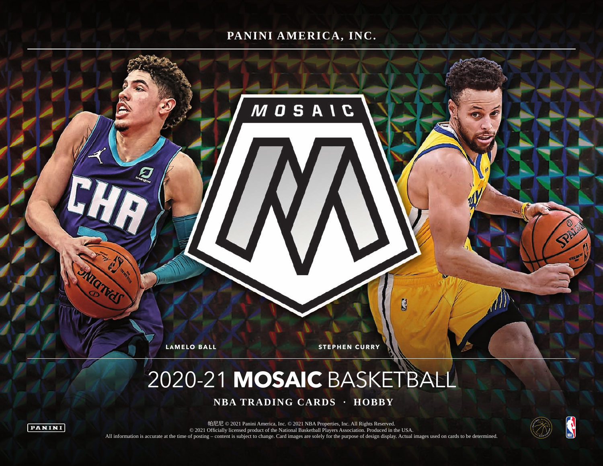## **PANINI AMERICA, INC.**

**MOSAIC** 

*IN* 

**LAMELO BALL STEPHEN CURRY** 

# 2020-21 **MOSAIC** BASKETBALL

 **NBA TRADING CARDS · HOBBY**





帕尼尼 © 2021 Panini America, Inc. © 2021 NBA Properties, Inc. All Rights Reserved. © 2021 Officially licensed product of the National Basketball Players Association. Produced in the USA. All information is accurate at the time of posting – content is subject to change. Card images are solely for the purpose of design display. Actual images used on cards to be determined.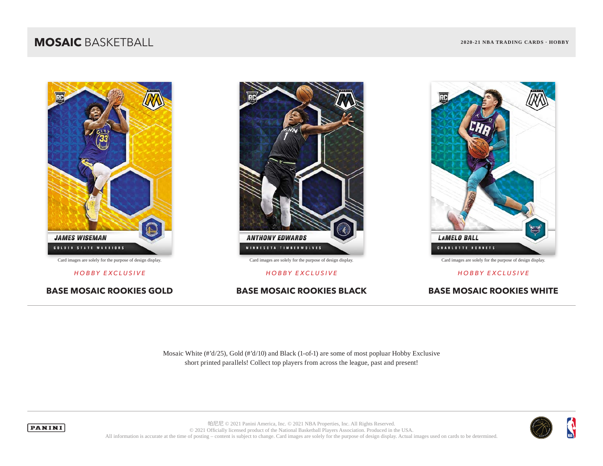### **MOSAIC** BASKETBALL **2020-21 NBA TRADING CARDS · HOBBY**







*HOBBY EXCLUSIVE HOBBY EXCLUSIVE HOBBY EXCLUSIVE*

**BASE MOSAIC ROOKIES GOLD BASE MOSAIC ROOKIES BLACK BASE MOSAIC ROOKIES WHITE**

Mosaic White (#'d/25), Gold (#'d/10) and Black (1-of-1) are some of most popluar Hobby Exclusive short printed parallels! Collect top players from across the league, past and present!





帕尼尼 © 2021 Panini America, Inc. © 2021 NBA Properties, Inc. All Rights Reserved. © 2021 Officially licensed product of the National Basketball Players Association. Produced in the USA. All information is accurate at the time of posting – content is subject to change. Card images are solely for the purpose of design display. Actual images used on cards to be determined.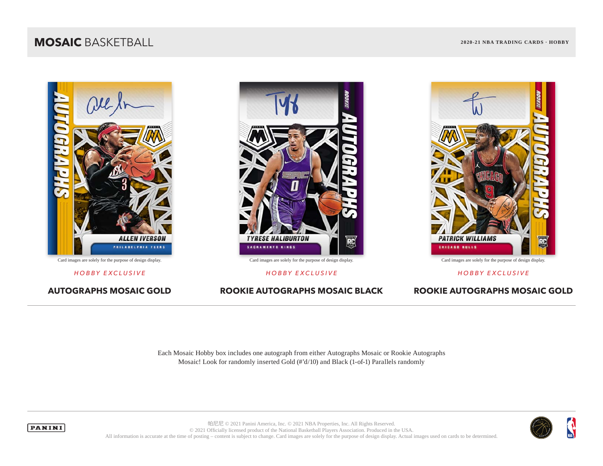## **MOSAIC** BASKETBALL **2020-21 NBA TRADING CARDS · HOBBY**







*HOBBY EXCLUSIVE HOBBY EXCLUSIVE HOBBY EXCLUSIVE*



**AUTOGRAPHS MOSAIC GOLD ROOKIE AUTOGRAPHS MOSAIC BLACK ROOKIE AUTOGRAPHS MOSAIC GOLD**

Each Mosaic Hobby box includes one autograph from either Autographs Mosaic or Rookie Autographs Mosaic! Look for randomly inserted Gold (#'d/10) and Black (1-of-1) Parallels randomly



**PANINI** 

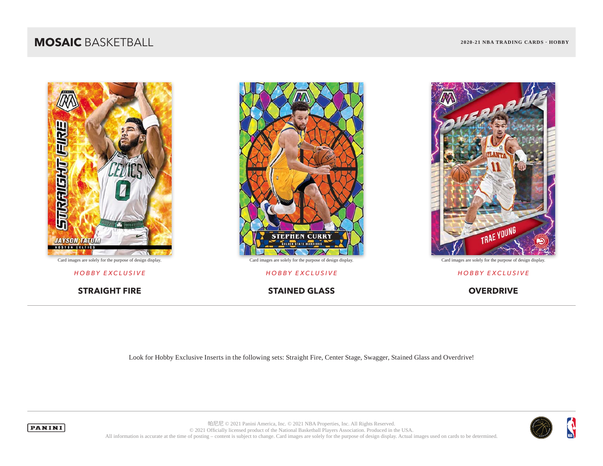## **MOSAIC** BASKETBALL **2020-21 NBA TRADING CARDS · HOBBY**





*HOBBY EXCLUSIVE HOBBY EXCLUSIVE HOBBY EXCLUSIVE*

**STRAIGHT FIRE STAINED GLASS OVERDRIVE** 



Look for Hobby Exclusive Inserts in the following sets: Straight Fire, Center Stage, Swagger, Stained Glass and Overdrive!





帕尼尼 © 2021 Panini America, Inc. © 2021 NBA Properties, Inc. All Rights Reserved. © 2021 Officially licensed product of the National Basketball Players Association. Produced in the USA. All information is accurate at the time of posting – content is subject to change. Card images are solely for the purpose of design display. Actual images used on cards to be determined.